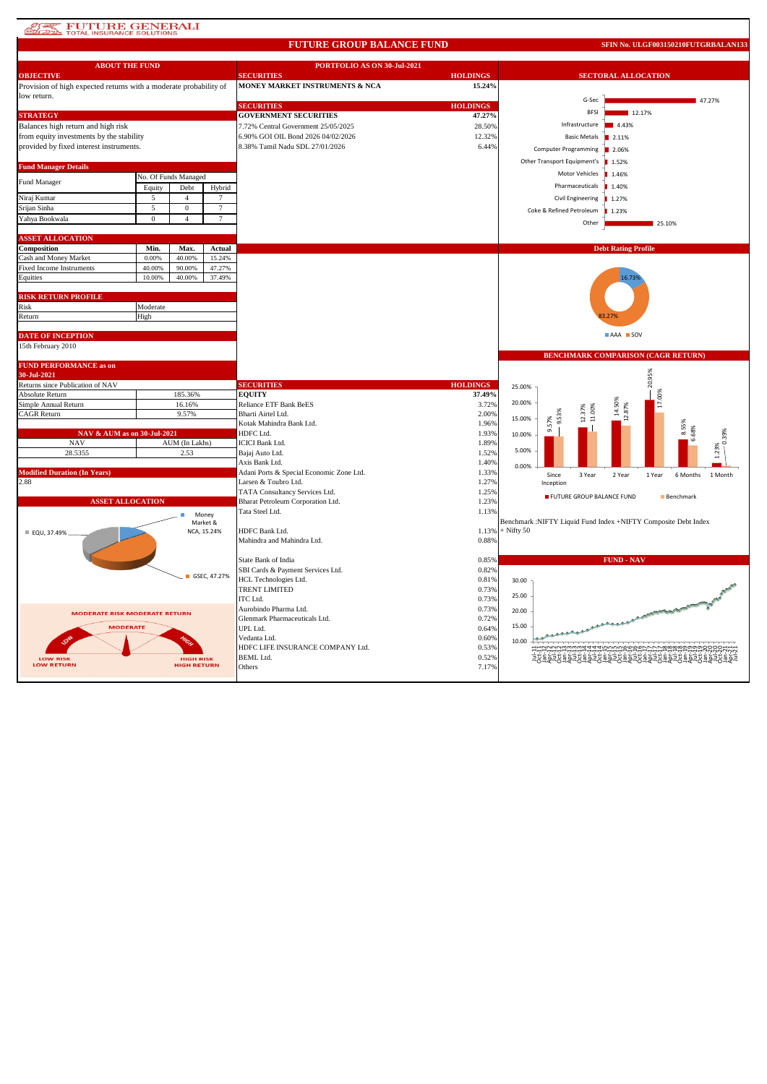## **ATES FUTURE GENERALI**

#### **FUTURE GROUP BALANCE FUND**

**SFIN No. ULGF003150210FUTGRBALAN133**

| <b>ABOUT THE FUND</b>                                             |               |                                        |                  | PORTFOLIO AS ON 30-Jul-2021               |                 |              |                                     |                                                                |  |  |
|-------------------------------------------------------------------|---------------|----------------------------------------|------------------|-------------------------------------------|-----------------|--------------|-------------------------------------|----------------------------------------------------------------|--|--|
| <b>OBJECTIVE</b>                                                  |               |                                        |                  | <b>SECURITIES</b>                         | <b>HOLDINGS</b> |              | <b>SECTORAL ALLOCATION</b>          |                                                                |  |  |
| Provision of high expected returns with a moderate probability of |               |                                        |                  | MONEY MARKET INSTRUMENTS & NCA            | 15.24%          |              |                                     |                                                                |  |  |
| low return.                                                       |               |                                        |                  | <b>SECURITIES</b>                         | <b>HOLDINGS</b> |              | G-Sec                               | 47.27%                                                         |  |  |
| <b>STRATEGY</b>                                                   |               |                                        |                  | <b>GOVERNMENT SECURITIES</b>              | 47.27%          |              | <b>BFSI</b>                         | 12.17%                                                         |  |  |
| Balances high return and high risk                                |               |                                        |                  | 7.72% Central Government 25/05/2025       | 28.50%          |              | Infrastructure                      | 4.43%                                                          |  |  |
| from equity investments by the stability                          |               |                                        |                  | 6.90% GOI OIL Bond 2026 04/02/2026        | 12.32%          |              | <b>Basic Metals</b>                 | 2.11%                                                          |  |  |
| provided by fixed interest instruments.                           |               |                                        |                  | 8.38% Tamil Nadu SDL 27/01/2026           | 6.44%           |              |                                     |                                                                |  |  |
|                                                                   |               |                                        |                  |                                           |                 |              | <b>Computer Programming</b>         | 2.06%                                                          |  |  |
| <b>Fund Manager Details</b>                                       |               |                                        |                  |                                           |                 |              | Other Transport Equipment's   1.52% |                                                                |  |  |
| <b>Fund Manager</b>                                               |               | No. Of Funds Managed                   |                  |                                           |                 |              | Motor Vehicles                      | 1.46%<br>п                                                     |  |  |
|                                                                   | Equity        | Debt                                   | Hybrid           |                                           |                 |              | Pharmaceuticals                     | 1.40%<br>п                                                     |  |  |
| Niraj Kumar                                                       | 5             | $\overline{4}$                         | $\tau$           |                                           |                 |              | Civil Engineering                   | 1.27%                                                          |  |  |
| Srijan Sinha                                                      | 5             | $\mathbf{0}$                           | $\overline{7}$   |                                           |                 |              | Coke & Refined Petroleum            | ■ 1.23%                                                        |  |  |
| Yahya Bookwala                                                    | $\mathbf{0}$  | $\overline{4}$                         | 7                |                                           |                 |              | Other                               | 25.10%                                                         |  |  |
|                                                                   |               |                                        |                  |                                           |                 |              |                                     |                                                                |  |  |
| <b>ASSET ALLOCATION</b>                                           |               |                                        |                  |                                           |                 |              |                                     |                                                                |  |  |
| Composition<br>Cash and Money Market                              | Min.<br>0.00% | Max.<br>40.00%                         | Actual<br>15.24% |                                           |                 |              |                                     | <b>Debt Rating Profile</b>                                     |  |  |
| Fixed Income Instruments                                          | 40.00%        | 90.00%                                 | 47.27%           |                                           |                 |              |                                     |                                                                |  |  |
| Equities                                                          | 10.00%        | 40.00%                                 | 37.49%           |                                           |                 |              |                                     | 16.739                                                         |  |  |
|                                                                   |               |                                        |                  |                                           |                 |              |                                     |                                                                |  |  |
| <b>RISK RETURN PROFILE</b>                                        |               |                                        |                  |                                           |                 |              |                                     |                                                                |  |  |
| Risk                                                              | Moderate      |                                        |                  |                                           |                 |              |                                     |                                                                |  |  |
| Return                                                            | High          |                                        |                  |                                           |                 |              |                                     |                                                                |  |  |
|                                                                   |               |                                        |                  |                                           |                 |              |                                     |                                                                |  |  |
| <b>DATE OF INCEPTION</b>                                          |               |                                        |                  |                                           |                 |              |                                     | <b>AAA</b> SOV                                                 |  |  |
| 15th February 2010                                                |               |                                        |                  |                                           |                 |              |                                     | <b>BENCHMARK COMPARISON (CAGR RETURN)</b>                      |  |  |
| <b>FUND PERFORMANCE as on</b>                                     |               |                                        |                  |                                           |                 |              |                                     |                                                                |  |  |
| 30-Jul-2021                                                       |               |                                        |                  |                                           |                 |              |                                     |                                                                |  |  |
| Returns since Publication of NAV                                  |               |                                        |                  | <b>SECURITIES</b>                         | <b>HOLDINGS</b> | 25.00%       |                                     | 20.95%                                                         |  |  |
| Absolute Return                                                   |               | 185.36%                                |                  | <b>EQUITY</b>                             | 37.49%          |              |                                     | 17.00%                                                         |  |  |
| Simple Annual Return                                              |               | 16.16%                                 |                  | <b>Reliance ETF Bank BeES</b>             | 3.72%           | 20.00%       |                                     | 14.50%                                                         |  |  |
| <b>CAGR Return</b>                                                |               | 9.57%                                  |                  | Bharti Airtel Ltd.                        | 2.00%           | 15.00%       |                                     |                                                                |  |  |
|                                                                   |               |                                        |                  | Kotak Mahindra Bank Ltd.                  | 1.96%           |              | ക്                                  | 8.55%                                                          |  |  |
| NAV & AUM as on 30-Jul-2021                                       |               |                                        |                  | HDFC Ltd.                                 | 1.93%<br>1.89%  | 10.00%       |                                     | 6.68%                                                          |  |  |
| $_{\mathrm{NAV}}$<br>28.5355                                      |               | AUM (In Lakhs)<br>2.53                 |                  | <b>ICICI Bank Ltd.</b><br>Bajaj Auto Ltd. | 1.52%           | 5.00%        |                                     | 1.23%                                                          |  |  |
|                                                                   |               |                                        |                  | Axis Bank Ltd.                            | 1.40%           |              |                                     |                                                                |  |  |
| <b>Modified Duration (In Years)</b>                               |               |                                        |                  | Adani Ports & Special Economic Zone Ltd.  | 1.33%           | 0.00%        | Since<br>3 Year                     | 2 Year<br>1 Year<br>1 Month                                    |  |  |
| 2.88                                                              |               |                                        |                  | Larsen & Toubro Ltd.                      | 1.27%           |              | Inception                           | 6 Months                                                       |  |  |
|                                                                   |               |                                        |                  | TATA Consultancy Services Ltd.            | 1.25%           |              | FUTURE GROUP BALANCE FUND           | Benchmark                                                      |  |  |
| <b>ASSET ALLOCATION</b>                                           |               |                                        |                  | Bharat Petroleum Corporation Ltd.         | 1.23%           |              |                                     |                                                                |  |  |
|                                                                   |               |                                        | Money            | Tata Steel Ltd.                           | 1.13%           |              |                                     |                                                                |  |  |
|                                                                   |               |                                        | Market &         |                                           |                 |              |                                     | Benchmark :NIFTY Liquid Fund Index +NIFTY Composite Debt Index |  |  |
| ■ EQU, 37.49%                                                     |               |                                        | NCA, 15.24%      | HDFC Bank Ltd.                            | 1.13%           | $+$ Nifty 50 |                                     |                                                                |  |  |
|                                                                   |               |                                        |                  | Mahindra and Mahindra Ltd.                | 0.88%           |              |                                     |                                                                |  |  |
|                                                                   |               |                                        |                  | State Bank of India                       | 0.85%           |              |                                     | <b>FUND - NAV</b>                                              |  |  |
|                                                                   |               |                                        |                  | SBI Cards & Payment Services Ltd.         | 0.82%           |              |                                     |                                                                |  |  |
|                                                                   |               |                                        | GSEC, 47.27%     | HCL Technologies Ltd.                     | 0.81%           | 30.00        |                                     |                                                                |  |  |
|                                                                   |               |                                        |                  | <b>TRENT LIMITED</b>                      | 0.73%           |              |                                     |                                                                |  |  |
|                                                                   |               |                                        |                  | ITC Ltd.                                  | 0.73%           | 25.00        |                                     |                                                                |  |  |
| <b>MODERATE RISK MODERATE RETURN</b>                              |               |                                        |                  | Aurobindo Pharma Ltd.                     | 0.73%           | 20.00        |                                     | A CONTRACTORIZE BLOOD ROOM                                     |  |  |
|                                                                   |               |                                        |                  | Glenmark Pharmaceuticals Ltd.             | 0.72%           |              |                                     | معمعي                                                          |  |  |
| <b>MODERATE</b>                                                   |               |                                        |                  | UPL Ltd.                                  | 0.64%           | 15.00        |                                     |                                                                |  |  |
|                                                                   |               |                                        |                  | Vedanta Ltd.                              | 0.60%           | 10.00        |                                     |                                                                |  |  |
|                                                                   |               |                                        |                  | HDFC LIFE INSURANCE COMPANY Ltd.          | 0.53%           |              |                                     |                                                                |  |  |
| <b>LOW RISK</b><br><b>LOW RETURN</b>                              |               | <b>HIGH RISK</b><br><b>HIGH RETURN</b> |                  | <b>BEML</b> Ltd.<br>Others                | 0.52%<br>7.17%  |              |                                     | 횫힖ス두축희ス두축희ス두축희ス두                                               |  |  |
|                                                                   |               |                                        |                  |                                           |                 |              |                                     |                                                                |  |  |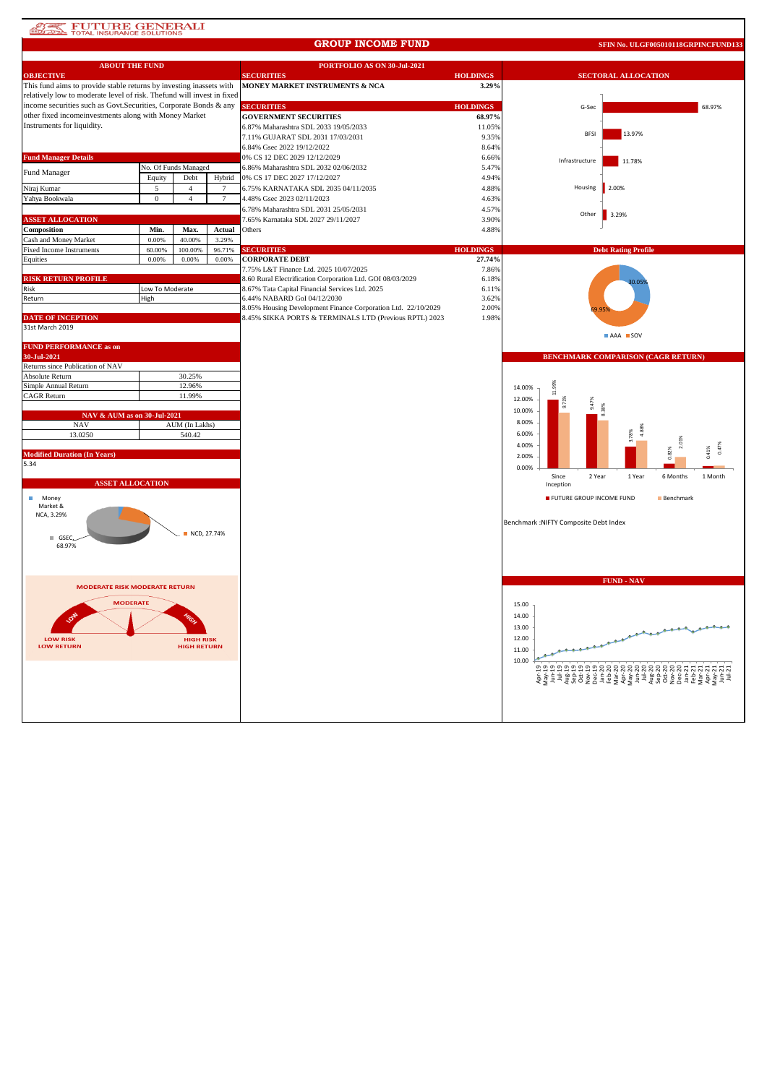# **ATE FUTURE GENERALI**

#### **GROUP INCOME FUND**

**SFIN No. ULGF005010118GRPINCFUND133**

| <b>ABOUT THE FUND</b>                                                  |                  |                      |                | PORTFOLIO AS ON 30-Jul-2021                                   |                 |                                                           |  |
|------------------------------------------------------------------------|------------------|----------------------|----------------|---------------------------------------------------------------|-----------------|-----------------------------------------------------------|--|
| <b>OBJECTIVE</b>                                                       |                  |                      |                | <b>SECURITIES</b>                                             | <b>HOLDINGS</b> | <b>SECTORAL ALLOCATION</b>                                |  |
| This fund aims to provide stable returns by investing inassets with    |                  |                      |                | MONEY MARKET INSTRUMENTS & NCA                                | 3.29%           |                                                           |  |
| relatively low to moderate level of risk. Thefund will invest in fixed |                  |                      |                |                                                               |                 |                                                           |  |
| income securities such as Govt. Securities, Corporate Bonds & any      |                  |                      |                | <b>SECURITIES</b>                                             | <b>HOLDINGS</b> | G-Sec<br>68.97%                                           |  |
| other fixed incomeinvestments along with Money Market                  |                  |                      |                | <b>GOVERNMENT SECURITIES</b>                                  | 68.97%          |                                                           |  |
| Instruments for liquidity.                                             |                  |                      |                | 6.87% Maharashtra SDL 2033 19/05/2033                         | 11.05%          |                                                           |  |
|                                                                        |                  |                      |                | 7.11% GUJARAT SDL 2031 17/03/2031                             | 9.35%           | <b>BFSI</b><br>13.97%                                     |  |
|                                                                        |                  |                      |                | 6.84% Gsec 2022 19/12/2022                                    | 8.64%           |                                                           |  |
| <b>Fund Manager Details</b>                                            |                  |                      |                | 0% CS 12 DEC 2029 12/12/2029                                  | 6.66%           | Infrastructure<br>11.78%                                  |  |
| Fund Manager                                                           |                  | No. Of Funds Managed |                | 6.86% Maharashtra SDL 2032 02/06/2032                         | 5.47%           |                                                           |  |
|                                                                        | Equity           | Debt                 | Hybrid         | 0% CS 17 DEC 2027 17/12/2027                                  | 4.94%           |                                                           |  |
| Niraj Kumar                                                            | 5                | $\overline{4}$       | $\tau$         | 6.75% KARNATAKA SDL 2035 04/11/2035                           | 4.88%           | Housing<br>2.00%                                          |  |
| Yahya Bookwala                                                         | $\mathbf{0}$     | $\overline{4}$       | $\overline{7}$ | 4.48% Gsec 2023 02/11/2023                                    | 4.63%           |                                                           |  |
|                                                                        |                  |                      |                | 6.78% Maharashtra SDL 2031 25/05/2031                         | 4.57%           |                                                           |  |
| <b>ASSET ALLOCATION</b>                                                |                  |                      |                | 7.65% Karnataka SDL 2027 29/11/2027                           | 3.90%           | Other<br>3.29%                                            |  |
| Composition                                                            | Min.             | Max.                 | Actual         | Others                                                        | 4.88%           |                                                           |  |
| Cash and Money Market                                                  | 0.00%            | 40.00%               | 3.29%          |                                                               |                 |                                                           |  |
| Fixed Income Instruments                                               | 60.00%           | 100.00%              | 96.71%         | <b>SECURITIES</b>                                             | <b>HOLDINGS</b> | <b>Debt Rating Profile</b>                                |  |
| Equities                                                               | 0.00%            | 0.00%                | 0.00%          | <b>CORPORATE DEBT</b>                                         | 27.74%          |                                                           |  |
|                                                                        |                  |                      |                | 7.75% L&T Finance Ltd. 2025 10/07/2025                        | 7.86%           |                                                           |  |
| <b>RISK RETURN PROFILE</b>                                             |                  |                      |                | 8.60 Rural Electrification Corporation Ltd. GOI 08/03/2029    | 6.18%           |                                                           |  |
| Risk                                                                   | Low To Moderate  |                      |                | 8.67% Tata Capital Financial Services Ltd. 2025               | 6.11%           |                                                           |  |
| Return                                                                 | High             |                      |                | 6.44% NABARD GoI 04/12/2030                                   | 3.62%           |                                                           |  |
|                                                                        |                  |                      |                | 8.05% Housing Development Finance Corporation Ltd. 22/10/2029 | 2.00%           |                                                           |  |
| <b>DATE OF INCEPTION</b>                                               |                  |                      |                | 8.45% SIKKA PORTS & TERMINALS LTD (Previous RPTL) 2023        | 1.98%           |                                                           |  |
| 31st March 2019                                                        |                  |                      |                |                                                               |                 | AAA SOV                                                   |  |
|                                                                        |                  |                      |                |                                                               |                 |                                                           |  |
| <b>FUND PERFORMANCE as on</b>                                          |                  |                      |                |                                                               |                 |                                                           |  |
| 30-Jul-2021                                                            |                  |                      |                |                                                               |                 | BENCHMARK COMPARISON (CAGR RETURN)                        |  |
| Returns since Publication of NAV<br>Absolute Return                    |                  |                      |                |                                                               |                 |                                                           |  |
| Simple Annual Return                                                   | 30.25%           |                      |                |                                                               |                 |                                                           |  |
| CAGR Return                                                            | 12.96%<br>11.99% |                      |                |                                                               |                 | 14.00%                                                    |  |
|                                                                        |                  |                      |                |                                                               |                 | 12.00%                                                    |  |
| NAV & AUM as on 30-Jul-2021                                            |                  |                      |                |                                                               |                 | 10.00%                                                    |  |
| <b>NAV</b>                                                             |                  | AUM (In Lakhs)       |                |                                                               |                 | 8.00%                                                     |  |
| 13.0250                                                                |                  | 540.42               |                |                                                               |                 | 6.00%                                                     |  |
|                                                                        |                  |                      |                |                                                               |                 | 2.01%<br>4.00%                                            |  |
| <b>Modified Duration (In Years)</b>                                    |                  |                      |                |                                                               |                 | 0.47%<br>0.41%<br>2.00%                                   |  |
| 5.34                                                                   |                  |                      |                |                                                               |                 |                                                           |  |
|                                                                        |                  |                      |                |                                                               |                 | 0.00%<br>Since<br>2 Year<br>1 Year<br>6 Months<br>1 Month |  |
| <b>ASSET ALLOCATION</b>                                                |                  |                      |                |                                                               |                 | Inception                                                 |  |
|                                                                        |                  |                      |                |                                                               |                 | FUTURE GROUP INCOME FUND<br>Benchmark                     |  |
| Money<br>Market &                                                      |                  |                      |                |                                                               |                 |                                                           |  |
| NCA, 3.29%                                                             |                  |                      |                |                                                               |                 |                                                           |  |
|                                                                        |                  |                      |                |                                                               |                 | Benchmark : NIFTY Composite Debt Index                    |  |
| GSEC                                                                   |                  | NCD, 27,74%          |                |                                                               |                 |                                                           |  |
| 68.97%                                                                 |                  |                      |                |                                                               |                 |                                                           |  |
|                                                                        |                  |                      |                |                                                               |                 |                                                           |  |
|                                                                        |                  |                      |                |                                                               |                 |                                                           |  |
|                                                                        |                  |                      |                |                                                               |                 |                                                           |  |
| <b>MODERATE RISK MODERATE RETURN</b>                                   |                  |                      |                |                                                               |                 | <b>FUND - NAV</b>                                         |  |
|                                                                        |                  |                      |                |                                                               |                 |                                                           |  |
| <b>MODERATE</b>                                                        |                  |                      |                |                                                               |                 | 15.00                                                     |  |
|                                                                        |                  |                      |                |                                                               |                 | 14.00                                                     |  |
|                                                                        |                  |                      |                |                                                               |                 | 13.00                                                     |  |
| <b>LOW RISK</b>                                                        |                  | <b>HIGH RISK</b>     |                |                                                               |                 | 12.00                                                     |  |
| <b>LOW RETURN</b>                                                      |                  | <b>HIGH RETURN</b>   |                |                                                               |                 |                                                           |  |
|                                                                        |                  |                      |                |                                                               |                 | 11.00                                                     |  |
|                                                                        |                  |                      |                |                                                               |                 | 10.00                                                     |  |
|                                                                        |                  |                      |                |                                                               |                 |                                                           |  |
|                                                                        |                  |                      |                |                                                               |                 |                                                           |  |
|                                                                        |                  |                      |                |                                                               |                 |                                                           |  |
|                                                                        |                  |                      |                |                                                               |                 |                                                           |  |
|                                                                        |                  |                      |                |                                                               |                 |                                                           |  |
|                                                                        |                  |                      |                |                                                               |                 |                                                           |  |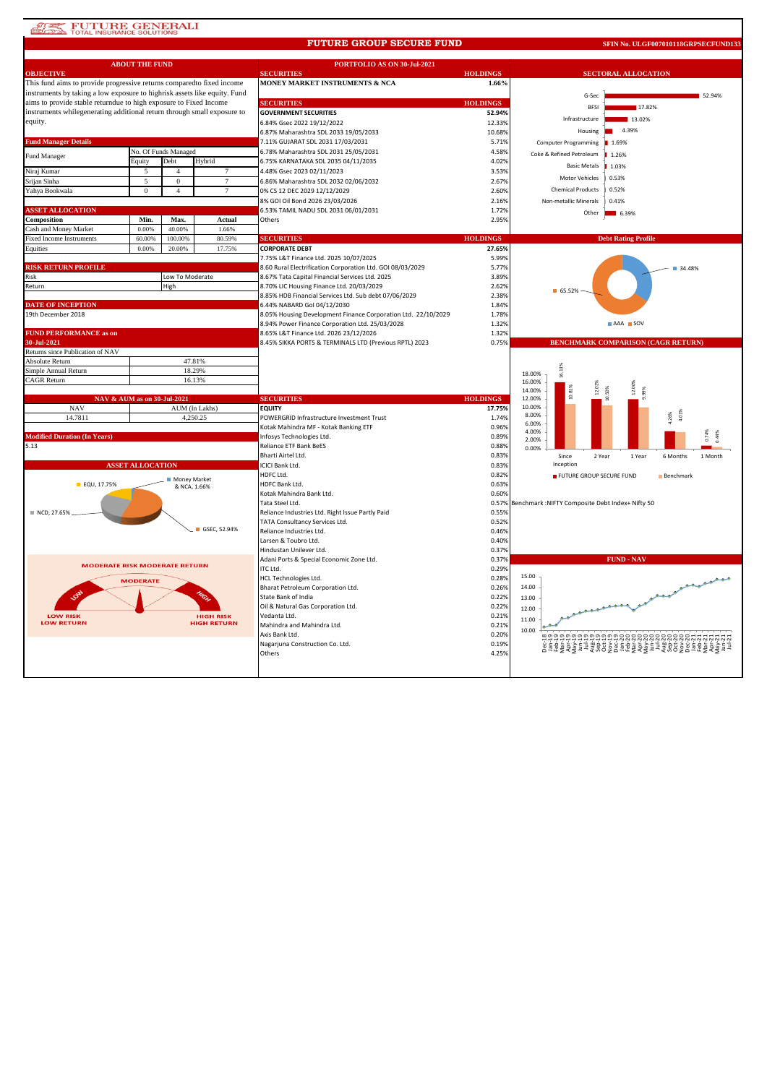## **AREA FUTURE GENERALI**<br> **ELLEVAL INSURANCE SOLUTIONS**

#### **FUTURE GROUP SECURE FUND**

**SFIN No. ULGF007010118GRPSECFUND133**

|                                                                           | <b>ABOUT THE FUND</b>       |                              |                    | PORTFOLIO AS ON 30-Jul-2021                                   |                 |                                                  |  |  |
|---------------------------------------------------------------------------|-----------------------------|------------------------------|--------------------|---------------------------------------------------------------|-----------------|--------------------------------------------------|--|--|
| <b>OBJECTIVE</b>                                                          |                             |                              |                    | <b>SECURITIES</b>                                             | <b>HOLDINGS</b> | <b>SECTORAL ALLOCATION</b>                       |  |  |
| This fund aims to provide progressive returns compared to fixed income    |                             |                              |                    | MONEY MARKET INSTRUMENTS & NCA                                | 1.66%           |                                                  |  |  |
| instruments by taking a low exposure to highrisk assets like equity. Fund |                             |                              |                    |                                                               |                 | G-Sec<br>52.94%                                  |  |  |
| aims to provide stable returndue to high exposure to Fixed Income         |                             |                              |                    | <b>SECURITIES</b>                                             | <b>HOLDINGS</b> | 17.82%<br><b>RFSI</b>                            |  |  |
| instruments whilegenerating additional return through small exposure to   |                             |                              |                    | <b>GOVERNMENT SECURITIES</b>                                  | 52.94%          | Infrastructure<br>13.02%                         |  |  |
| equity.                                                                   |                             |                              |                    | 6.84% Gsec 2022 19/12/2022                                    | 12.33%          |                                                  |  |  |
|                                                                           |                             |                              |                    | 6.87% Maharashtra SDL 2033 19/05/2033                         | 10.68%          | 4.39%<br>Housing                                 |  |  |
| <b>Fund Manager Details</b>                                               |                             |                              |                    | 7.11% GUJARAT SDL 2031 17/03/2031                             | 5.71%           | <b>Computer Programming</b><br>■ 1.69%           |  |  |
| Fund Manager                                                              |                             | No. Of Funds Managed         |                    | 6.78% Maharashtra SDL 2031 25/05/2031                         | 4.58%           | Coke & Refined Petroleum<br>1.26%                |  |  |
|                                                                           | Equity                      | Debt                         | Hybrid             | 6.75% KARNATAKA SDL 2035 04/11/2035                           | 4.02%           | <b>Basic Metals</b><br>1.03%                     |  |  |
| Niraj Kumar                                                               | 5                           | $\overline{4}$               | 7                  | 4.48% Gsec 2023 02/11/2023                                    | 3.53%           |                                                  |  |  |
| Srijan Sinha                                                              | 5                           | $\mathbf{0}$                 | $\tau$             | 6.86% Maharashtra SDL 2032 02/06/2032                         | 2.67%           | Motor Vehicles<br>0.53%                          |  |  |
| Yahya Bookwala                                                            | $\mathbf{0}$                | $\overline{4}$               | $7\phantom{.0}$    | 0% CS 12 DEC 2029 12/12/2029                                  | 2.60%           | <b>Chemical Products</b><br>0.52%                |  |  |
|                                                                           |                             |                              |                    | 8% GOI Oil Bond 2026 23/03/2026                               | 2.16%           | Non-metallic Minerals<br>0.41%                   |  |  |
| <b>ASSET ALLOCATION</b>                                                   |                             |                              |                    | 6.53% TAMIL NADU SDL 2031 06/01/2031                          | 1.72%           | Other<br>$\blacksquare$ 6.39%                    |  |  |
| Composition                                                               | Min.                        | Max.                         | Actual             | Others                                                        | 2.95%           |                                                  |  |  |
| Cash and Money Market                                                     | 0.00%                       | 40.00%                       | 1.66%              |                                                               |                 |                                                  |  |  |
| <b>Fixed Income Instruments</b>                                           | 60.00%                      | 100.00%                      | 80.59%             | <b>SECURITIES</b>                                             | <b>HOLDINGS</b> | <b>Debt Rating Profile</b>                       |  |  |
| Equities                                                                  | 0.00%                       | 20.00%                       | 17.75%             | <b>CORPORATE DEBT</b>                                         | 27.65%          |                                                  |  |  |
|                                                                           |                             |                              |                    | 7.75% L&T Finance Ltd. 2025 10/07/2025                        | 5.999           |                                                  |  |  |
| <b>RISK RETURN PROFILE</b>                                                |                             |                              |                    | 8.60 Rural Electrification Corporation Ltd. GOI 08/03/2029    | 5.77%           | 34.48%                                           |  |  |
| Risk                                                                      |                             | Low To Moderate              |                    | 8.67% Tata Capital Financial Services Ltd. 2025               | 3.89%           |                                                  |  |  |
| Return                                                                    |                             | High                         |                    | 8.70% LIC Housing Finance Ltd. 20/03/2029                     | 2.62%           |                                                  |  |  |
|                                                                           |                             |                              |                    | 8.85% HDB Financial Services Ltd. Sub debt 07/06/2029         | 2.38%           | 65.52%                                           |  |  |
| <b>DATE OF INCEPTION</b>                                                  |                             |                              |                    | 6.44% NABARD Gol 04/12/2030                                   | 1.84%           |                                                  |  |  |
| 19th December 2018                                                        |                             |                              |                    | 8.05% Housing Development Finance Corporation Ltd. 22/10/2029 | 1.78%           |                                                  |  |  |
|                                                                           |                             |                              |                    | 8.94% Power Finance Corporation Ltd. 25/03/2028               | 1.32%           | AAA SOV                                          |  |  |
| <b>FUND PERFORMANCE as on</b>                                             |                             |                              |                    | 8.65% L&T Finance Ltd. 2026 23/12/2026                        | 1.32%           |                                                  |  |  |
| 30-Jul-2021                                                               |                             |                              |                    | 8.45% SIKKA PORTS & TERMINALS LTD (Previous RPTL) 2023        | 0.75%           | <b>BENCHMARK COMPARISON (CAGR RETURN)</b>        |  |  |
| Returns since Publication of NAV                                          |                             |                              |                    |                                                               |                 |                                                  |  |  |
| Absolute Return                                                           |                             |                              | 47.81%             |                                                               |                 |                                                  |  |  |
| Simple Annual Return                                                      |                             |                              | 18.29%             |                                                               |                 | 16.13%<br>18.00%                                 |  |  |
| <b>CAGR Return</b><br>16.13%                                              |                             |                              |                    |                                                               |                 | 16.00%                                           |  |  |
|                                                                           |                             |                              |                    |                                                               |                 | 12.00%<br>14.00%<br>××                           |  |  |
|                                                                           | NAV & AUM as on 30-Jul-2021 |                              |                    | <b>SECURITIES</b>                                             | <b>HOLDINGS</b> | 12.00%                                           |  |  |
| <b>NAV</b>                                                                |                             |                              | AUM (In Lakhs)     | <b>EQUITY</b>                                                 | 17.75%          | 10.00%                                           |  |  |
| 14.7811                                                                   |                             |                              | 4,250.25           | POWERGRID Infrastructure Investment Trust                     | 1.74%           | 4.01%<br>8.00%<br>.26%                           |  |  |
|                                                                           |                             |                              |                    | Kotak Mahindra MF - Kotak Banking ETF                         | 0.96%           | 6.00%<br>4.00%                                   |  |  |
| <b>Modified Duration (In Years)</b>                                       |                             |                              |                    | Infosys Technologies Ltd.                                     | 0.89%           | 2.00%                                            |  |  |
| 5.13                                                                      |                             |                              |                    | Reliance ETF Bank BeES                                        | 0.88%           | 0.00%                                            |  |  |
|                                                                           |                             |                              |                    | Bharti Airtel Ltd.                                            | 0.83%           | Since<br>1 Month<br>2 Year<br>1 Year<br>6 Months |  |  |
|                                                                           | <b>ASSET ALLOCATION</b>     |                              |                    | ICICI Bank Ltd.                                               | 0.83%           | Inception                                        |  |  |
|                                                                           |                             |                              |                    | HDFC Ltd.                                                     | 0.82%           | FUTURE GROUP SECURE FUND<br>Benchmark            |  |  |
| EQU, 17.75%                                                               |                             | Money Market<br>& NCA, 1.66% |                    | HDFC Bank Ltd.                                                | 0.63%           |                                                  |  |  |
|                                                                           |                             |                              |                    | Kotak Mahindra Bank Ltd.                                      | 0.60%           |                                                  |  |  |
|                                                                           |                             |                              |                    | Tata Steel Ltd.                                               | 0.57%           | Benchmark :NIFTY Composite Debt Index+ Nifty 50  |  |  |
| ■ NCD, 27.65%                                                             |                             |                              |                    | Reliance Industries Ltd. Right Issue Partly Paid              | 0.55%           |                                                  |  |  |
|                                                                           |                             |                              |                    | TATA Consultancy Services Ltd.                                | 0.52%           |                                                  |  |  |
|                                                                           |                             |                              | GSEC, 52.94%       | Reliance Industries Ltd.                                      | 0.46%           |                                                  |  |  |
|                                                                           |                             |                              |                    | Larsen & Toubro Ltd.                                          | 0.40%           |                                                  |  |  |
|                                                                           |                             |                              |                    |                                                               |                 |                                                  |  |  |
|                                                                           |                             |                              |                    | Hindustan Unilever Ltd.                                       | 0.37%           |                                                  |  |  |
|                                                                           |                             |                              |                    | Adani Ports & Special Economic Zone Ltd.                      | 0.37%           | <b>FUND - NAV</b>                                |  |  |
| <b>MODERATE RISK MODERATE RETURN</b>                                      |                             |                              |                    | ITC Ltd.                                                      | 0.29%           |                                                  |  |  |
|                                                                           |                             |                              |                    | HCL Technologies Ltd.                                         | 0.28%           | 15.00                                            |  |  |
|                                                                           | <b>MODERATE</b>             |                              |                    | Bharat Petroleum Corporation Ltd.                             | 0.26%           | 14.00                                            |  |  |
| قى                                                                        |                             |                              |                    | State Bank of India                                           | 0.22%           | 13.00                                            |  |  |
|                                                                           |                             |                              |                    | Oil & Natural Gas Corporation Ltd.                            | 0.22%           |                                                  |  |  |
| <b>LOW RISK</b>                                                           |                             |                              | <b>HIGH RISK</b>   | Vedanta Ltd.                                                  | 0.21%           | 12.00                                            |  |  |
| <b>LOW RETURN</b>                                                         |                             |                              | <b>HIGH RETURN</b> | Mahindra and Mahindra Ltd.                                    | 0.21%           | 11.00                                            |  |  |
|                                                                           |                             |                              |                    | Axis Bank Ltd.                                                | 0.20%           | 10.00                                            |  |  |
|                                                                           |                             |                              |                    | Nagarjuna Construction Co. Ltd.                               | 0.19%           |                                                  |  |  |
|                                                                           |                             |                              |                    | Others                                                        | 4.25%           |                                                  |  |  |
|                                                                           |                             |                              |                    |                                                               |                 |                                                  |  |  |